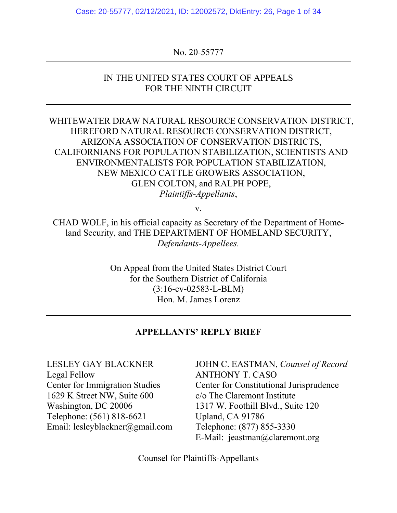Case: 20-55777, 02/12/2021, ID: 12002572, DktEntry: 26, Page 1 of 34

### No. 20-55777

### IN THE UNITED STATES COURT OF APPEALS FOR THE NINTH CIRCUIT

## WHITEWATER DRAW NATURAL RESOURCE CONSERVATION DISTRICT, HEREFORD NATURAL RESOURCE CONSERVATION DISTRICT, ARIZONA ASSOCIATION OF CONSERVATION DISTRICTS, CALIFORNIANS FOR POPULATION STABILIZATION, SCIENTISTS AND ENVIRONMENTALISTS FOR POPULATION STABILIZATION, NEW MEXICO CATTLE GROWERS ASSOCIATION, GLEN COLTON, and RALPH POPE, *Plaintiffs-Appellants*,

v.

CHAD WOLF, in his official capacity as Secretary of the Department of Homeland Security, and THE DEPARTMENT OF HOMELAND SECURITY, *Defendants-Appellees.*

> On Appeal from the United States District Court for the Southern District of California (3:16-cv-02583-L-BLM) Hon. M. James Lorenz

### **APPELLANTS' REPLY BRIEF**

LESLEY GAY BLACKNER Legal Fellow Center for Immigration Studies 1629 K Street NW, Suite 600 Washington, DC 20006 Telephone: (561) 818-6621 Email: lesleyblackner@gmail.com JOHN C. EASTMAN, *Counsel of Record* ANTHONY T. CASO Center for Constitutional Jurisprudence c/o The Claremont Institute 1317 W. Foothill Blvd., Suite 120 Upland, CA 91786 Telephone: (877) 855-3330 E-Mail: jeastman@claremont.org

Counsel for Plaintiffs-Appellants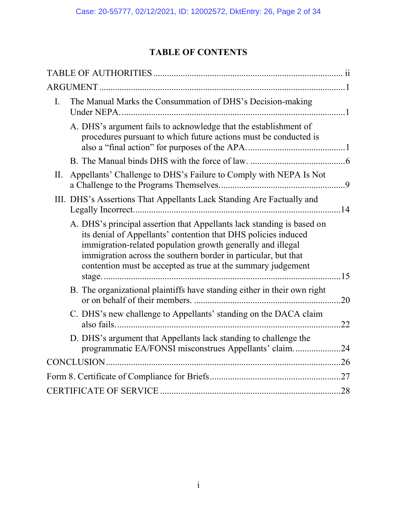# **TABLE OF CONTENTS**

| Ι.  | The Manual Marks the Consummation of DHS's Decision-making                                                                                                                                                                                                                                                                                |     |
|-----|-------------------------------------------------------------------------------------------------------------------------------------------------------------------------------------------------------------------------------------------------------------------------------------------------------------------------------------------|-----|
|     | A. DHS's argument fails to acknowledge that the establishment of<br>procedures pursuant to which future actions must be conducted is                                                                                                                                                                                                      |     |
|     |                                                                                                                                                                                                                                                                                                                                           |     |
| II. | Appellants' Challenge to DHS's Failure to Comply with NEPA Is Not                                                                                                                                                                                                                                                                         |     |
|     | III. DHS's Assertions That Appellants Lack Standing Are Factually and                                                                                                                                                                                                                                                                     |     |
|     | A. DHS's principal assertion that Appellants lack standing is based on<br>its denial of Appellants' contention that DHS policies induced<br>immigration-related population growth generally and illegal<br>immigration across the southern border in particular, but that<br>contention must be accepted as true at the summary judgement |     |
|     | B. The organizational plaintiffs have standing either in their own right                                                                                                                                                                                                                                                                  | .20 |
|     | C. DHS's new challenge to Appellants' standing on the DACA claim                                                                                                                                                                                                                                                                          | .22 |
|     | D. DHS's argument that Appellants lack standing to challenge the<br>programmatic EA/FONSI misconstrues Appellants' claim                                                                                                                                                                                                                  | .24 |
|     |                                                                                                                                                                                                                                                                                                                                           |     |
|     |                                                                                                                                                                                                                                                                                                                                           |     |
|     |                                                                                                                                                                                                                                                                                                                                           |     |
|     |                                                                                                                                                                                                                                                                                                                                           |     |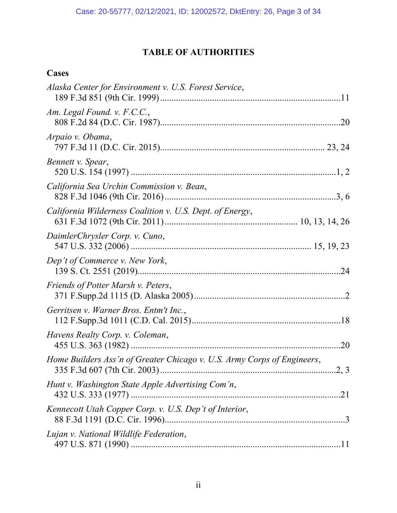# **TABLE OF AUTHORITIES**

# <span id="page-2-0"></span>**Cases**

| Alaska Center for Environment v. U.S. Forest Service,                   |
|-------------------------------------------------------------------------|
| Am. Legal Found. v. F.C.C.,                                             |
| Arpaio v. Obama,                                                        |
| Bennett v. Spear,                                                       |
| California Sea Urchin Commission v. Bean,                               |
| California Wilderness Coalition v. U.S. Dept. of Energy,                |
| DaimlerChrysler Corp. v. Cuno,                                          |
| Dep't of Commerce v. New York,                                          |
| Friends of Potter Marsh v. Peters,                                      |
| Gerritsen v. Warner Bros. Entm't Inc.,                                  |
| Havens Realty Corp. v. Coleman,                                         |
| Home Builders Ass'n of Greater Chicago v. U.S. Army Corps of Engineers, |
| Hunt v. Washington State Apple Advertising Com'n,                       |
| Kennecott Utah Copper Corp. v. U.S. Dep't of Interior,                  |
| Lujan v. National Wildlife Federation,                                  |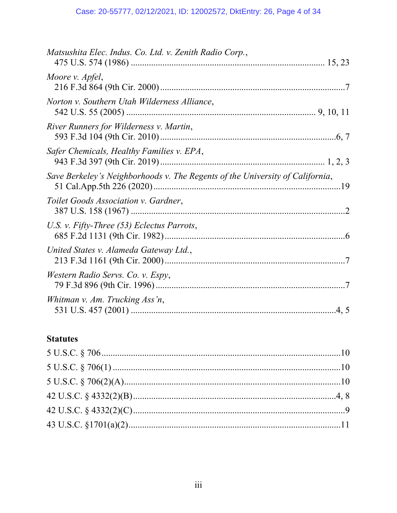| Matsushita Elec. Indus. Co. Ltd. v. Zenith Radio Corp.,                       |
|-------------------------------------------------------------------------------|
| Moore v. Apfel,                                                               |
| Norton v. Southern Utah Wilderness Alliance,                                  |
| River Runners for Wilderness v. Martin,                                       |
| Safer Chemicals, Healthy Families v. EPA,                                     |
| Save Berkeley's Neighborhoods v. The Regents of the University of California, |
| Toilet Goods Association v. Gardner,                                          |
| U.S. v. Fifty-Three (53) Eclectus Parrots,                                    |
| United States v. Alameda Gateway Ltd.,                                        |
| Western Radio Servs. Co. v. Espy,                                             |
| Whitman v. Am. Trucking Ass'n,                                                |

## **Statutes**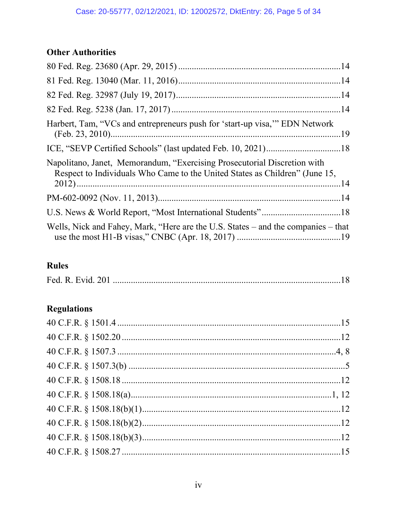# **Other Authorities**

| Harbert, Tam, "VCs and entrepreneurs push for 'start-up visa," EDN Network                                                                              |  |
|---------------------------------------------------------------------------------------------------------------------------------------------------------|--|
|                                                                                                                                                         |  |
| Napolitano, Janet, Memorandum, "Exercising Prosecutorial Discretion with<br>Respect to Individuals Who Came to the United States as Children" (June 15, |  |
|                                                                                                                                                         |  |
|                                                                                                                                                         |  |
| Wells, Nick and Fahey, Mark, "Here are the U.S. States – and the companies – that                                                                       |  |

# **Rules**

# **Regulations**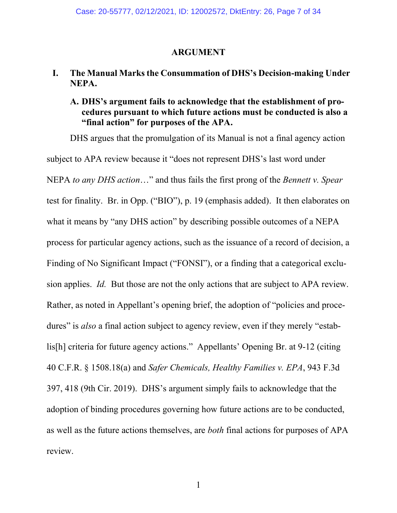### **ARGUMENT**

## <span id="page-6-1"></span><span id="page-6-0"></span>**I. The Manual Marks the Consummation of DHS's Decision-making Under NEPA.**

## <span id="page-6-2"></span>**A. DHS's argument fails to acknowledge that the establishment of procedures pursuant to which future actions must be conducted is also a "final action" for purposes of the APA.**

DHS argues that the promulgation of its Manual is not a final agency action subject to APA review because it "does not represent DHS's last word under NEPA *to any DHS action*…" and thus fails the first prong of the *Bennett v. Spear* test for finality. Br. in Opp. ("BIO"), p. 19 (emphasis added). It then elaborates on what it means by "any DHS action" by describing possible outcomes of a NEPA process for particular agency actions, such as the issuance of a record of decision, a Finding of No Significant Impact ("FONSI"), or a finding that a categorical exclusion applies. *Id.* But those are not the only actions that are subject to APA review. Rather, as noted in Appellant's opening brief, the adoption of "policies and procedures" is *also* a final action subject to agency review, even if they merely "establis[h] criteria for future agency actions." Appellants' Opening Br. at 9-12 (citing 40 C.F.R. § 1508.18(a) and *Safer Chemicals, Healthy Families v. EPA*, 943 F.3d 397, 418 (9th Cir. 2019). DHS's argument simply fails to acknowledge that the adoption of binding procedures governing how future actions are to be conducted, as well as the future actions themselves, are *both* final actions for purposes of APA review.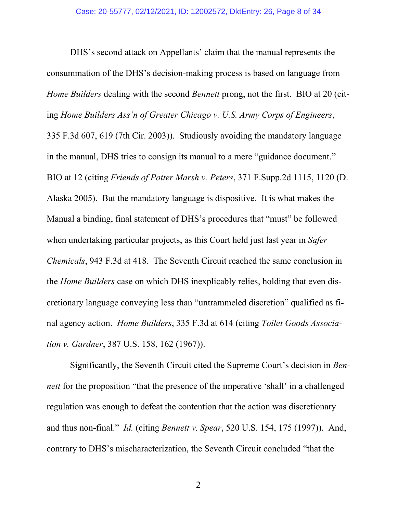DHS's second attack on Appellants' claim that the manual represents the consummation of the DHS's decision-making process is based on language from *Home Builders* dealing with the second *Bennett* prong, not the first. BIO at 20 (citing *Home Builders Ass'n of Greater Chicago v. U.S. Army Corps of Engineers*, 335 F.3d 607, 619 (7th Cir. 2003)). Studiously avoiding the mandatory language in the manual, DHS tries to consign its manual to a mere "guidance document." BIO at 12 (citing *Friends of Potter Marsh v. Peters*, 371 F.Supp.2d 1115, 1120 (D. Alaska 2005). But the mandatory language is dispositive. It is what makes the Manual a binding, final statement of DHS's procedures that "must" be followed when undertaking particular projects, as this Court held just last year in *Safer Chemicals*, 943 F.3d at 418. The Seventh Circuit reached the same conclusion in the *Home Builders* case on which DHS inexplicably relies, holding that even discretionary language conveying less than "untrammeled discretion" qualified as final agency action. *Home Builders*, 335 F.3d at 614 (citing *Toilet Goods Association v. Gardner*, 387 U.S. 158, 162 (1967)).

Significantly, the Seventh Circuit cited the Supreme Court's decision in *Bennett* for the proposition "that the presence of the imperative 'shall' in a challenged regulation was enough to defeat the contention that the action was discretionary and thus non-final." *Id.* (citing *Bennett v. Spear*, 520 U.S. 154, 175 (1997)). And, contrary to DHS's mischaracterization, the Seventh Circuit concluded "that the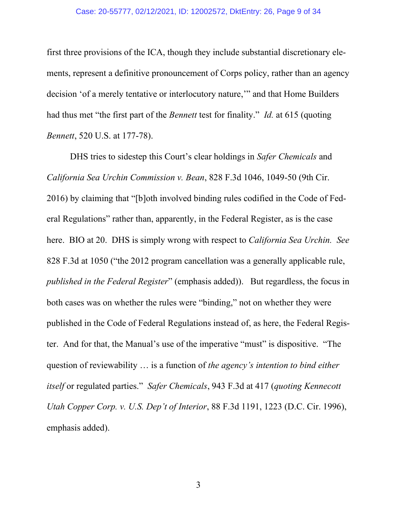first three provisions of the ICA, though they include substantial discretionary elements, represent a definitive pronouncement of Corps policy, rather than an agency decision 'of a merely tentative or interlocutory nature,'" and that Home Builders had thus met "the first part of the *Bennett* test for finality." *Id.* at 615 (quoting *Bennett*, 520 U.S. at 177-78).

DHS tries to sidestep this Court's clear holdings in *Safer Chemicals* and *California Sea Urchin Commission v. Bean*, 828 F.3d 1046, 1049-50 (9th Cir. 2016) by claiming that "[b]oth involved binding rules codified in the Code of Federal Regulations" rather than, apparently, in the Federal Register, as is the case here. BIO at 20. DHS is simply wrong with respect to *California Sea Urchin. See*  828 F.3d at 1050 ("the 2012 program cancellation was a generally applicable rule, *published in the Federal Register*" (emphasis added)). But regardless, the focus in both cases was on whether the rules were "binding," not on whether they were published in the Code of Federal Regulations instead of, as here, the Federal Register. And for that, the Manual's use of the imperative "must" is dispositive. "The question of reviewability … is a function of *the agency's intention to bind either itself* or regulated parties." *Safer Chemicals*, 943 F.3d at 417 (*quoting Kennecott Utah Copper Corp. v. U.S. Dep't of Interior*, 88 F.3d 1191, 1223 (D.C. Cir. 1996), emphasis added).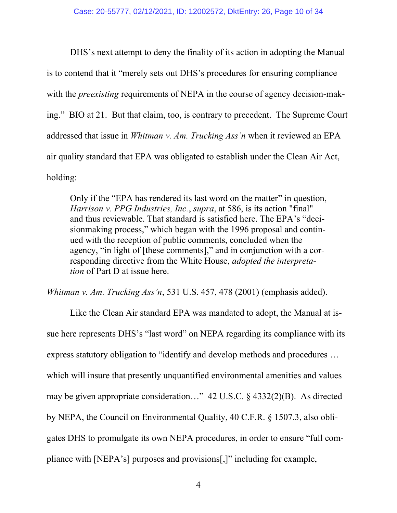DHS's next attempt to deny the finality of its action in adopting the Manual is to contend that it "merely sets out DHS's procedures for ensuring compliance with the *preexisting* requirements of NEPA in the course of agency decision-making." BIO at 21. But that claim, too, is contrary to precedent. The Supreme Court addressed that issue in *Whitman v. Am. Trucking Ass'n* when it reviewed an EPA air quality standard that EPA was obligated to establish under the Clean Air Act, holding:

Only if the "EPA has rendered its last word on the matter" in question, *Harrison v. PPG Industries, Inc.*, *supra*, at 586, is its action "final" and thus reviewable. That standard is satisfied here. The EPA's "decisionmaking process," which began with the 1996 proposal and continued with the reception of public comments, concluded when the agency, "in light of [these comments]," and in conjunction with a corresponding directive from the White House, *adopted the interpretation* of Part D at issue here.

*Whitman v. Am. Trucking Ass'n*, 531 U.S. 457, 478 (2001) (emphasis added).

Like the Clean Air standard EPA was mandated to adopt, the Manual at issue here represents DHS's "last word" on NEPA regarding its compliance with its express statutory obligation to "identify and develop methods and procedures … which will insure that presently unquantified environmental amenities and values may be given appropriate consideration…" 42 U.S.C. § 4332(2)(B). As directed by NEPA, the Council on Environmental Quality, 40 C.F.R. § 1507.3, also obligates DHS to promulgate its own NEPA procedures, in order to ensure "full compliance with [NEPA's] purposes and provisions[,]" including for example,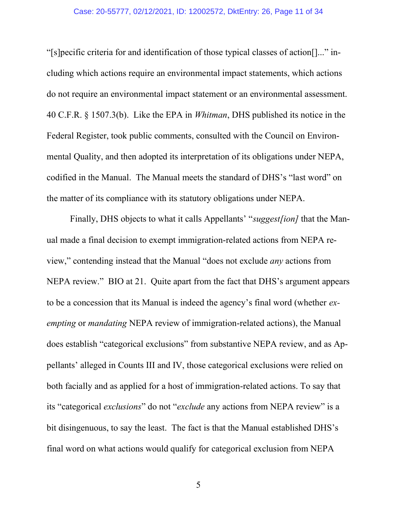#### Case: 20-55777, 02/12/2021, ID: 12002572, DktEntry: 26, Page 11 of 34

"[s]pecific criteria for and identification of those typical classes of action[]..." including which actions require an environmental impact statements, which actions do not require an environmental impact statement or an environmental assessment. 40 C.F.R. § 1507.3(b). Like the EPA in *Whitman*, DHS published its notice in the Federal Register, took public comments, consulted with the Council on Environmental Quality, and then adopted its interpretation of its obligations under NEPA, codified in the Manual. The Manual meets the standard of DHS's "last word" on the matter of its compliance with its statutory obligations under NEPA.

Finally, DHS objects to what it calls Appellants' "*suggest[ion]* that the Manual made a final decision to exempt immigration-related actions from NEPA review," contending instead that the Manual "does not exclude *any* actions from NEPA review." BIO at 21. Quite apart from the fact that DHS's argument appears to be a concession that its Manual is indeed the agency's final word (whether *exempting* or *mandating* NEPA review of immigration-related actions), the Manual does establish "categorical exclusions" from substantive NEPA review, and as Appellants' alleged in Counts III and IV, those categorical exclusions were relied on both facially and as applied for a host of immigration-related actions. To say that its "categorical *exclusions*" do not "*exclude* any actions from NEPA review" is a bit disingenuous, to say the least. The fact is that the Manual established DHS's final word on what actions would qualify for categorical exclusion from NEPA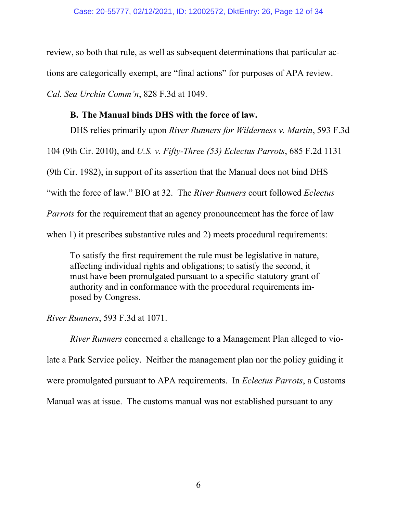review, so both that rule, as well as subsequent determinations that particular actions are categorically exempt, are "final actions" for purposes of APA review. *Cal. Sea Urchin Comm'n*, 828 F.3d at 1049.

### **B. The Manual binds DHS with the force of law.**

<span id="page-11-0"></span>DHS relies primarily upon *River Runners for Wilderness v. Martin*, 593 F.3d 104 (9th Cir. 2010), and *U.S. v. Fifty-Three (53) Eclectus Parrots*, 685 F.2d 1131 (9th Cir. 1982), in support of its assertion that the Manual does not bind DHS "with the force of law." BIO at 32. The *River Runners* court followed *Eclectus Parrots* for the requirement that an agency pronouncement has the force of law when 1) it prescribes substantive rules and 2) meets procedural requirements:

To satisfy the first requirement the rule must be legislative in nature, affecting individual rights and obligations; to satisfy the second, it must have been promulgated pursuant to a specific statutory grant of authority and in conformance with the procedural requirements imposed by Congress.

*River Runners*, 593 F.3d at 1071.

*River Runners* concerned a challenge to a Management Plan alleged to violate a Park Service policy. Neither the management plan nor the policy guiding it were promulgated pursuant to APA requirements. In *Eclectus Parrots*, a Customs Manual was at issue. The customs manual was not established pursuant to any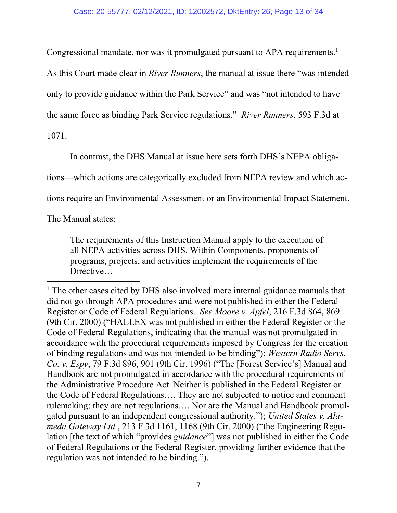Congressional mandate, nor was it promulgated pursuant to APA requirements.<sup>1</sup>

As this Court made clear in *River Runners*, the manual at issue there "was intended

only to provide guidance within the Park Service" and was "not intended to have

the same force as binding Park Service regulations." *River Runners*, 593 F.3d at

1071.

In contrast, the DHS Manual at issue here sets forth DHS's NEPA obliga-

tions—which actions are categorically excluded from NEPA review and which ac-

tions require an Environmental Assessment or an Environmental Impact Statement.

The Manual states:

The requirements of this Instruction Manual apply to the execution of all NEPA activities across DHS. Within Components, proponents of programs, projects, and activities implement the requirements of the Directive...

<sup>&</sup>lt;sup>1</sup> The other cases cited by DHS also involved mere internal guidance manuals that did not go through APA procedures and were not published in either the Federal Register or Code of Federal Regulations. *See Moore v. Apfel*, 216 F.3d 864, 869 (9th Cir. 2000) ("HALLEX was not published in either the Federal Register or the Code of Federal Regulations, indicating that the manual was not promulgated in accordance with the procedural requirements imposed by Congress for the creation of binding regulations and was not intended to be binding"); *Western Radio Servs. Co. v. Espy*, 79 F.3d 896, 901 (9th Cir. 1996) ("The [Forest Service's] Manual and Handbook are not promulgated in accordance with the procedural requirements of the Administrative Procedure Act. Neither is published in the Federal Register or the Code of Federal Regulations…. They are not subjected to notice and comment rulemaking; they are not regulations…. Nor are the Manual and Handbook promulgated pursuant to an independent congressional authority."); *United States v. Alameda Gateway Ltd.*, 213 F.3d 1161, 1168 (9th Cir. 2000) ("the Engineering Regulation [the text of which "provides *guidance*"] was not published in either the Code of Federal Regulations or the Federal Register, providing further evidence that the regulation was not intended to be binding.").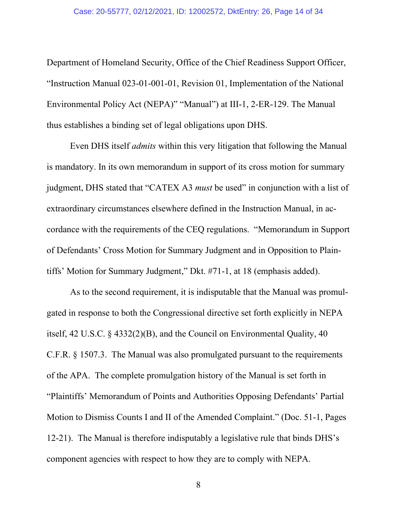Department of Homeland Security, Office of the Chief Readiness Support Officer, "Instruction Manual 023-01-001-01, Revision 01, Implementation of the National Environmental Policy Act (NEPA)" "Manual") at III-1, 2-ER-129. The Manual thus establishes a binding set of legal obligations upon DHS.

Even DHS itself *admits* within this very litigation that following the Manual is mandatory. In its own memorandum in support of its cross motion for summary judgment, DHS stated that "CATEX A3 *must* be used" in conjunction with a list of extraordinary circumstances elsewhere defined in the Instruction Manual, in accordance with the requirements of the CEQ regulations. "Memorandum in Support of Defendants' Cross Motion for Summary Judgment and in Opposition to Plaintiffs' Motion for Summary Judgment," Dkt. #71-1, at 18 (emphasis added).

As to the second requirement, it is indisputable that the Manual was promulgated in response to both the Congressional directive set forth explicitly in NEPA itself, 42 U.S.C. § 4332(2)(B), and the Council on Environmental Quality, 40 C.F.R. § 1507.3. The Manual was also promulgated pursuant to the requirements of the APA. The complete promulgation history of the Manual is set forth in "Plaintiffs' Memorandum of Points and Authorities Opposing Defendants' Partial Motion to Dismiss Counts I and II of the Amended Complaint." (Doc. 51-1, Pages 12-21). The Manual is therefore indisputably a legislative rule that binds DHS's component agencies with respect to how they are to comply with NEPA.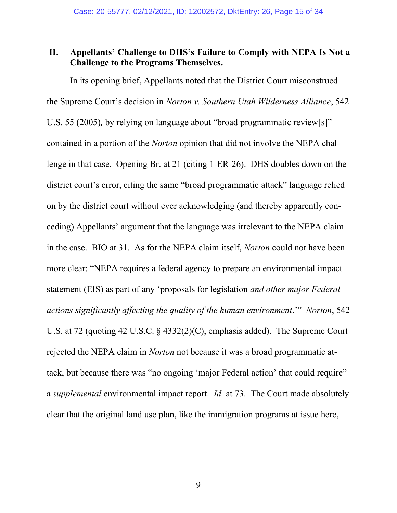## <span id="page-14-0"></span>**II. Appellants' Challenge to DHS's Failure to Comply with NEPA Is Not a Challenge to the Programs Themselves.**

In its opening brief, Appellants noted that the District Court misconstrued the Supreme Court's decision in *Norton v. Southern Utah Wilderness Alliance*, 542 U.S. 55 (2005)*,* by relying on language about "broad programmatic review[s]" contained in a portion of the *Norton* opinion that did not involve the NEPA challenge in that case. Opening Br. at 21 (citing 1-ER-26). DHS doubles down on the district court's error, citing the same "broad programmatic attack" language relied on by the district court without ever acknowledging (and thereby apparently conceding) Appellants' argument that the language was irrelevant to the NEPA claim in the case. BIO at 31. As for the NEPA claim itself, *Norton* could not have been more clear: "NEPA requires a federal agency to prepare an environmental impact statement (EIS) as part of any 'proposals for legislation *and other major Federal actions significantly affecting the quality of the human environment*.'" *Norton*, 542 U.S. at 72 (quoting 42 U.S.C. § 4332(2)(C), emphasis added). The Supreme Court rejected the NEPA claim in *Norton* not because it was a broad programmatic attack, but because there was "no ongoing 'major Federal action' that could require" a *supplemental* environmental impact report. *Id.* at 73. The Court made absolutely clear that the original land use plan, like the immigration programs at issue here,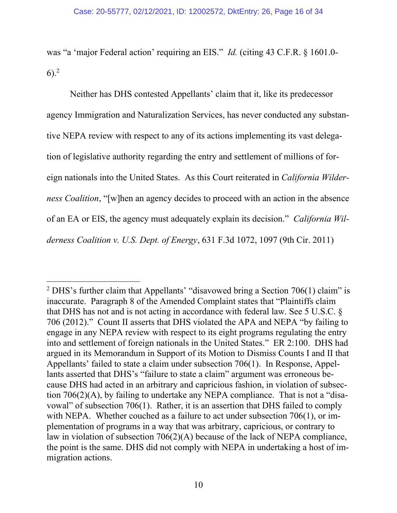was "a 'major Federal action' requiring an EIS." *Id.* (citing 43 C.F.R. § 1601.0-  $6)$ <sup>2</sup>

Neither has DHS contested Appellants' claim that it, like its predecessor agency Immigration and Naturalization Services, has never conducted any substantive NEPA review with respect to any of its actions implementing its vast delegation of legislative authority regarding the entry and settlement of millions of foreign nationals into the United States. As this Court reiterated in *California Wilderness Coalition*, "[w]hen an agency decides to proceed with an action in the absence of an EA or EIS, the agency must adequately explain its decision." *California Wilderness Coalition v. U.S. Dept. of Energy*, 631 F.3d 1072, 1097 (9th Cir. 2011)

<sup>&</sup>lt;sup>2</sup> DHS's further claim that Appellants' "disavowed bring a Section  $706(1)$  claim" is inaccurate. Paragraph 8 of the Amended Complaint states that "Plaintiffs claim that DHS has not and is not acting in accordance with federal law. See 5 U.S.C. § 706 (2012)." Count II asserts that DHS violated the APA and NEPA "by failing to engage in any NEPA review with respect to its eight programs regulating the entry into and settlement of foreign nationals in the United States." ER 2:100. DHS had argued in its Memorandum in Support of its Motion to Dismiss Counts I and II that Appellants' failed to state a claim under subsection 706(1). In Response, Appellants asserted that DHS's "failure to state a claim" argument was erroneous because DHS had acted in an arbitrary and capricious fashion, in violation of subsection 706(2)(A), by failing to undertake any NEPA compliance. That is not a "disavowal" of subsection 706(1). Rather, it is an assertion that DHS failed to comply with NEPA. Whether couched as a failure to act under subsection 706(1), or implementation of programs in a way that was arbitrary, capricious, or contrary to law in violation of subsection 706(2)(A) because of the lack of NEPA compliance, the point is the same. DHS did not comply with NEPA in undertaking a host of immigration actions.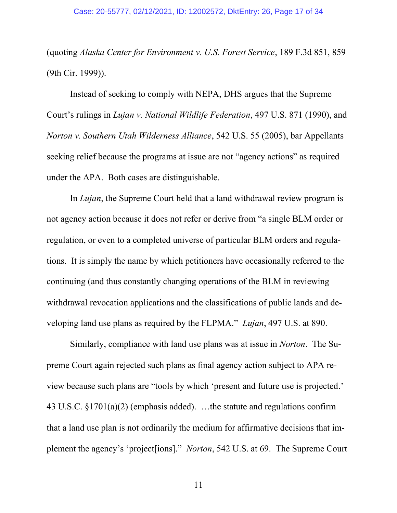(quoting *Alaska Center for Environment v. U.S. Forest Service*, 189 F.3d 851, 859 (9th Cir. 1999)).

Instead of seeking to comply with NEPA, DHS argues that the Supreme Court's rulings in *Lujan v. National Wildlife Federation*, 497 U.S. 871 (1990), and *Norton v. Southern Utah Wilderness Alliance*, 542 U.S. 55 (2005), bar Appellants seeking relief because the programs at issue are not "agency actions" as required under the APA. Both cases are distinguishable.

In *Lujan*, the Supreme Court held that a land withdrawal review program is not agency action because it does not refer or derive from "a single BLM order or regulation, or even to a completed universe of particular BLM orders and regulations. It is simply the name by which petitioners have occasionally referred to the continuing (and thus constantly changing operations of the BLM in reviewing withdrawal revocation applications and the classifications of public lands and developing land use plans as required by the FLPMA." *Lujan*, 497 U.S. at 890.

Similarly, compliance with land use plans was at issue in *Norton*. The Supreme Court again rejected such plans as final agency action subject to APA review because such plans are "tools by which 'present and future use is projected.' 43 U.S.C. §1701(a)(2) (emphasis added). …the statute and regulations confirm that a land use plan is not ordinarily the medium for affirmative decisions that implement the agency's 'project[ions]." *Norton*, 542 U.S. at 69. The Supreme Court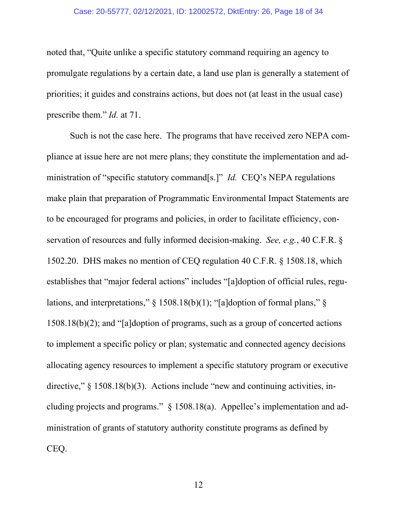#### Case: 20-55777, 02/12/2021, ID: 12002572, DktEntry: 26, Page 18 of 34

noted that, "Quite unlike a specific statutory command requiring an agency to promulgate regulations by a certain date, a land use plan is generally a statement of priorities; it guides and constrains actions, but does not (at least in the usual case) prescribe them." *Id.* at 71.

Such is not the case here. The programs that have received zero NEPA compliance at issue here are not mere plans; they constitute the implementation and administration of "specific statutory command[s.]" *Id.* CEQ's NEPA regulations make plain that preparation of Programmatic Environmental Impact Statements are to be encouraged for programs and policies, in order to facilitate efficiency, conservation of resources and fully informed decision-making. *See, e.g.*, 40 C.F.R. § 1502.20. DHS makes no mention of CEQ regulation 40 C.F.R. § 1508.18, which establishes that "major federal actions" includes "[a]doption of official rules, regulations, and interpretations," § 1508.18(b)(1); "[a]doption of formal plans," § 1508.18(b)(2); and "[a]doption of programs, such as a group of concerted actions to implement a specific policy or plan; systematic and connected agency decisions allocating agency resources to implement a specific statutory program or executive directive," § 1508.18(b)(3). Actions include "new and continuing activities, including projects and programs." § 1508.18(a). Appellee's implementation and administration of grants of statutory authority constitute programs as defined by CEQ.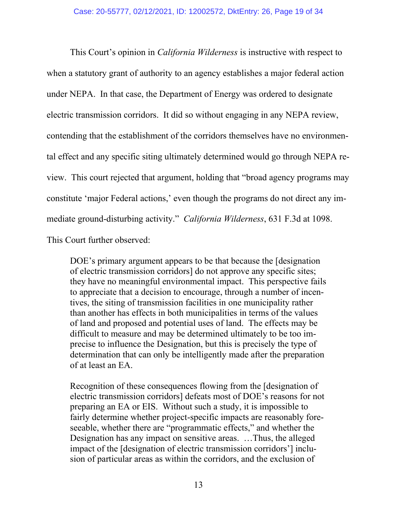This Court's opinion in *California Wilderness* is instructive with respect to when a statutory grant of authority to an agency establishes a major federal action under NEPA. In that case, the Department of Energy was ordered to designate electric transmission corridors. It did so without engaging in any NEPA review, contending that the establishment of the corridors themselves have no environmental effect and any specific siting ultimately determined would go through NEPA review. This court rejected that argument, holding that "broad agency programs may constitute 'major Federal actions,' even though the programs do not direct any immediate ground-disturbing activity." *California Wilderness*, 631 F.3d at 1098. This Court further observed:

DOE's primary argument appears to be that because the [designation of electric transmission corridors] do not approve any specific sites; they have no meaningful environmental impact. This perspective fails to appreciate that a decision to encourage, through a number of incentives, the siting of transmission facilities in one municipality rather than another has effects in both municipalities in terms of the values of land and proposed and potential uses of land. The effects may be difficult to measure and may be determined ultimately to be too imprecise to influence the Designation, but this is precisely the type of determination that can only be intelligently made after the preparation of at least an EA.

Recognition of these consequences flowing from the [designation of electric transmission corridors] defeats most of DOE's reasons for not preparing an EA or EIS. Without such a study, it is impossible to fairly determine whether project-specific impacts are reasonably foreseeable, whether there are "programmatic effects," and whether the Designation has any impact on sensitive areas. …Thus, the alleged impact of the [designation of electric transmission corridors'] inclusion of particular areas as within the corridors, and the exclusion of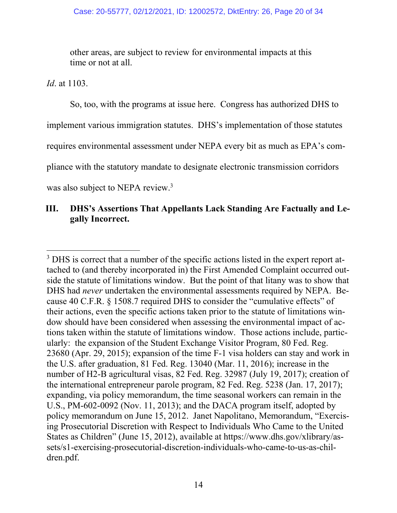other areas, are subject to review for environmental impacts at this time or not at all.

*Id*. at 1103.

So, too, with the programs at issue here. Congress has authorized DHS to implement various immigration statutes. DHS's implementation of those statutes requires environmental assessment under NEPA every bit as much as EPA's compliance with the statutory mandate to designate electronic transmission corridors was also subject to NEPA review.<sup>3</sup>

## <span id="page-19-1"></span><span id="page-19-0"></span>**III. DHS's Assertions That Appellants Lack Standing Are Factually and Legally Incorrect.**

<sup>&</sup>lt;sup>3</sup> DHS is correct that a number of the specific actions listed in the expert report attached to (and thereby incorporated in) the First Amended Complaint occurred outside the statute of limitations window. But the point of that litany was to show that DHS had *never* undertaken the environmental assessments required by NEPA. Because 40 C.F.R. § 1508.7 required DHS to consider the "cumulative effects" of their actions, even the specific actions taken prior to the statute of limitations window should have been considered when assessing the environmental impact of actions taken within the statute of limitations window. Those actions include, particularly: the expansion of the Student Exchange Visitor Program, 80 Fed. Reg. 23680 (Apr. 29, 2015); expansion of the time F-1 visa holders can stay and work in the U.S. after graduation, 81 Fed. Reg. 13040 (Mar. 11, 2016); increase in the number of H2-B agricultural visas, 82 Fed. Reg. 32987 (July 19, 2017); creation of the international entrepreneur parole program, 82 Fed. Reg. 5238 (Jan. 17, 2017); expanding, via policy memorandum, the time seasonal workers can remain in the U.S., PM-602-0092 (Nov. 11, 2013); and the DACA program itself, adopted by policy memorandum on June 15, 2012. Janet Napolitano, Memorandum, "Exercising Prosecutorial Discretion with Respect to Individuals Who Came to the United States as Children" (June 15, 2012), available at https://www.dhs.gov/xlibrary/assets/s1-exercising-prosecutorial-discretion-individuals-who-came-to-us-as-children.pdf.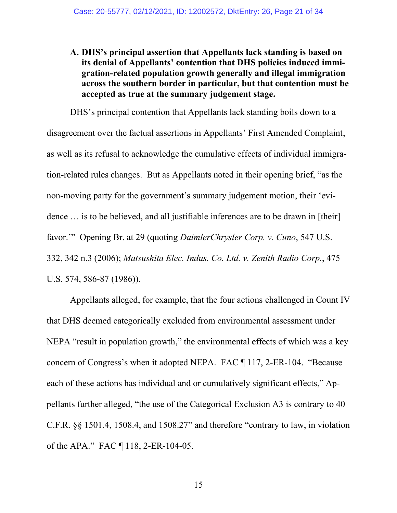**A. DHS's principal assertion that Appellants lack standing is based on its denial of Appellants' contention that DHS policies induced immigration-related population growth generally and illegal immigration across the southern border in particular, but that contention must be accepted as true at the summary judgement stage.**

DHS's principal contention that Appellants lack standing boils down to a disagreement over the factual assertions in Appellants' First Amended Complaint, as well as its refusal to acknowledge the cumulative effects of individual immigration-related rules changes. But as Appellants noted in their opening brief, "as the non-moving party for the government's summary judgement motion, their 'evidence ... is to be believed, and all justifiable inferences are to be drawn in [their] favor.'" Opening Br. at 29 (quoting *DaimlerChrysler Corp. v. Cuno*, 547 U.S. 332, 342 n.3 (2006); *Matsushita Elec. Indus. Co. Ltd. v. Zenith Radio Corp.*, 475 U.S. 574, 586-87 (1986)).

Appellants alleged, for example, that the four actions challenged in Count IV that DHS deemed categorically excluded from environmental assessment under NEPA "result in population growth," the environmental effects of which was a key concern of Congress's when it adopted NEPA. FAC ¶ 117, 2-ER-104. "Because each of these actions has individual and or cumulatively significant effects," Appellants further alleged, "the use of the Categorical Exclusion A3 is contrary to 40 C.F.R. §§ 1501.4, 1508.4, and 1508.27" and therefore "contrary to law, in violation of the APA." FAC ¶ 118, 2-ER-104-05.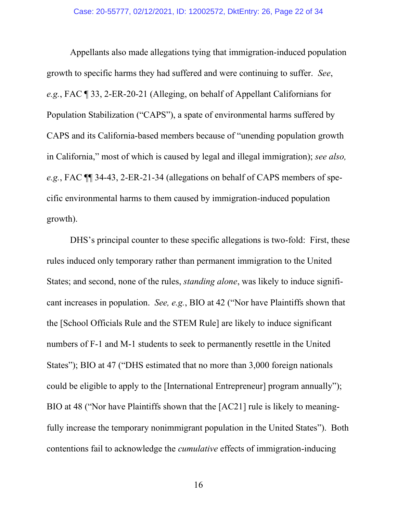Appellants also made allegations tying that immigration-induced population growth to specific harms they had suffered and were continuing to suffer. *See*, *e.g.*, FAC ¶ 33, 2-ER-20-21 (Alleging, on behalf of Appellant Californians for Population Stabilization ("CAPS"), a spate of environmental harms suffered by CAPS and its California-based members because of "unending population growth in California," most of which is caused by legal and illegal immigration); *see also, e.g.*, FAC ¶¶ 34-43, 2-ER-21-34 (allegations on behalf of CAPS members of specific environmental harms to them caused by immigration-induced population growth).

DHS's principal counter to these specific allegations is two-fold: First, these rules induced only temporary rather than permanent immigration to the United States; and second, none of the rules, *standing alone*, was likely to induce significant increases in population. *See, e.g.*, BIO at 42 ("Nor have Plaintiffs shown that the [School Officials Rule and the STEM Rule] are likely to induce significant numbers of F-1 and M-1 students to seek to permanently resettle in the United States"); BIO at 47 ("DHS estimated that no more than 3,000 foreign nationals could be eligible to apply to the [International Entrepreneur] program annually"); BIO at 48 ("Nor have Plaintiffs shown that the [AC21] rule is likely to meaningfully increase the temporary nonimmigrant population in the United States"). Both contentions fail to acknowledge the *cumulative* effects of immigration-inducing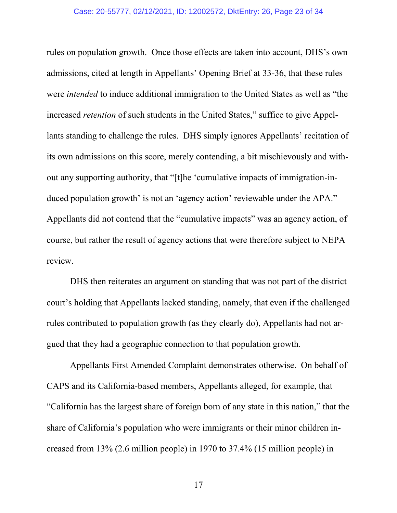#### Case: 20-55777, 02/12/2021, ID: 12002572, DktEntry: 26, Page 23 of 34

rules on population growth. Once those effects are taken into account, DHS's own admissions, cited at length in Appellants' Opening Brief at 33-36, that these rules were *intended* to induce additional immigration to the United States as well as "the increased *retention* of such students in the United States," suffice to give Appellants standing to challenge the rules. DHS simply ignores Appellants' recitation of its own admissions on this score, merely contending, a bit mischievously and without any supporting authority, that "[t]he 'cumulative impacts of immigration-induced population growth' is not an 'agency action' reviewable under the APA." Appellants did not contend that the "cumulative impacts" was an agency action, of course, but rather the result of agency actions that were therefore subject to NEPA review.

DHS then reiterates an argument on standing that was not part of the district court's holding that Appellants lacked standing, namely, that even if the challenged rules contributed to population growth (as they clearly do), Appellants had not argued that they had a geographic connection to that population growth.

Appellants First Amended Complaint demonstrates otherwise. On behalf of CAPS and its California-based members, Appellants alleged, for example, that "California has the largest share of foreign born of any state in this nation," that the share of California's population who were immigrants or their minor children increased from 13% (2.6 million people) in 1970 to 37.4% (15 million people) in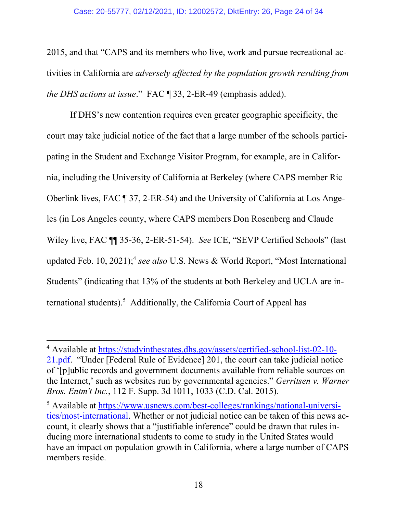2015, and that "CAPS and its members who live, work and pursue recreational activities in California are *adversely affected by the population growth resulting from the DHS actions at issue*." FAC ¶ 33, 2-ER-49 (emphasis added).

If DHS's new contention requires even greater geographic specificity, the court may take judicial notice of the fact that a large number of the schools participating in the Student and Exchange Visitor Program, for example, are in California, including the University of California at Berkeley (where CAPS member Ric Oberlink lives, FAC ¶ 37, 2-ER-54) and the University of California at Los Angeles (in Los Angeles county, where CAPS members Don Rosenberg and Claude Wiley live, FAC ¶¶ 35-36, 2-ER-51-54). *See* ICE, "SEVP Certified Schools" (last updated Feb. 10, 2021); 4 *see also* U.S. News & World Report, "Most International Students" (indicating that 13% of the students at both Berkeley and UCLA are international students).<sup>5</sup> Additionally, the California Court of Appeal has

<sup>4</sup> Available at [https://studyinthestates.dhs.gov/assets/certified-school-list-02-10-](https://studyinthestates.dhs.gov/assets/certified-school-list-02-10-21.pdf) [21.pdf](https://studyinthestates.dhs.gov/assets/certified-school-list-02-10-21.pdf). "Under [Federal Rule of Evidence] 201, the court can take judicial notice of '[p]ublic records and government documents available from reliable sources on the Internet,' such as websites run by governmental agencies." *Gerritsen v. Warner Bros. Entm't Inc.*, 112 F. Supp. 3d 1011, 1033 (C.D. Cal. 2015).

<sup>5</sup> Available at [https://www.usnews.com/best-colleges/rankings/national-universi](https://www.usnews.com/best-colleges/rankings/national-universities/most-international)[ties/most-international.](https://www.usnews.com/best-colleges/rankings/national-universities/most-international) Whether or not judicial notice can be taken of this news account, it clearly shows that a "justifiable inference" could be drawn that rules inducing more international students to come to study in the United States would have an impact on population growth in California, where a large number of CAPS members reside.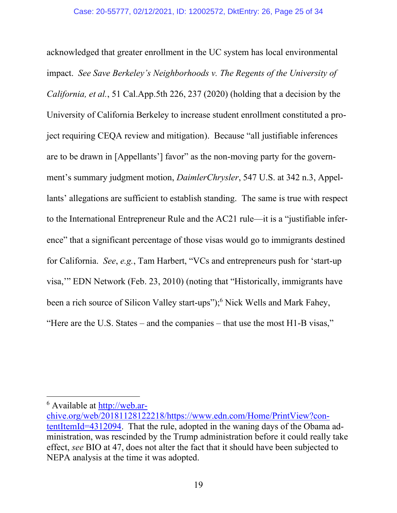acknowledged that greater enrollment in the UC system has local environmental impact. *See Save Berkeley's Neighborhoods v. The Regents of the University of California, et al.*, 51 Cal.App.5th 226, 237 (2020) (holding that a decision by the University of California Berkeley to increase student enrollment constituted a project requiring CEQA review and mitigation). Because "all justifiable inferences are to be drawn in [Appellants'] favor" as the non-moving party for the government's summary judgment motion, *DaimlerChrysler*, 547 U.S. at 342 n.3, Appellants' allegations are sufficient to establish standing. The same is true with respect to the International Entrepreneur Rule and the AC21 rule—it is a "justifiable inference" that a significant percentage of those visas would go to immigrants destined for California. *See*, *e.g.*, Tam Harbert, "VCs and entrepreneurs push for 'start-up visa,'" EDN Network (Feb. 23, 2010) (noting that "Historically, immigrants have been a rich source of Silicon Valley start-ups"); <sup>6</sup> Nick Wells and Mark Fahey, "Here are the U.S. States – and the companies – that use the most H1-B visas,"

<sup>6</sup> Available at [http://web.ar-](http://web.archive.org/web/20181128122218/https:/www.edn.com/Home/PrintView?contentItemId=4312094)

[chive.org/web/20181128122218/https://www.edn.com/Home/PrintView?con](http://web.archive.org/web/20181128122218/https:/www.edn.com/Home/PrintView?contentItemId=4312094)[tentItemId=4312094.](http://web.archive.org/web/20181128122218/https:/www.edn.com/Home/PrintView?contentItemId=4312094) That the rule, adopted in the waning days of the Obama administration, was rescinded by the Trump administration before it could really take effect, *see* BIO at 47, does not alter the fact that it should have been subjected to NEPA analysis at the time it was adopted.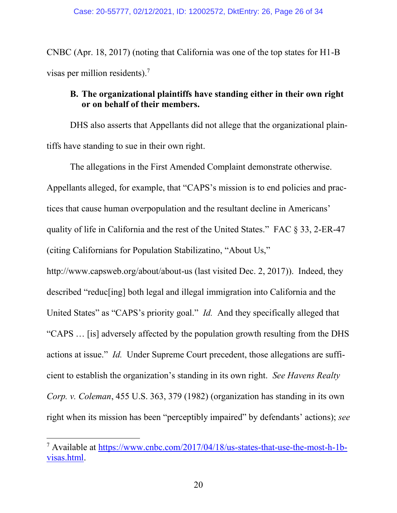CNBC (Apr. 18, 2017) (noting that California was one of the top states for H1-B visas per million residents).<sup>7</sup>

## <span id="page-25-0"></span>**B. The organizational plaintiffs have standing either in their own right or on behalf of their members.**

DHS also asserts that Appellants did not allege that the organizational plaintiffs have standing to sue in their own right.

The allegations in the First Amended Complaint demonstrate otherwise. Appellants alleged, for example, that "CAPS's mission is to end policies and practices that cause human overpopulation and the resultant decline in Americans' quality of life in California and the rest of the United States." FAC § 33, 2-ER-47 (citing Californians for Population Stabilizatino, "About Us," http://www.capsweb.org/about/about-us (last visited Dec. 2, 2017)). Indeed, they described "reduc[ing] both legal and illegal immigration into California and the United States" as "CAPS's priority goal." *Id.* And they specifically alleged that "CAPS … [is] adversely affected by the population growth resulting from the DHS actions at issue." *Id.* Under Supreme Court precedent, those allegations are sufficient to establish the organization's standing in its own right. *See Havens Realty Corp. v. Coleman*, 455 U.S. 363, 379 (1982) (organization has standing in its own right when its mission has been "perceptibly impaired" by defendants' actions); *see* 

<sup>7</sup> Available at [https://www.cnbc.com/2017/04/18/us-states-that-use-the-most-h-1b](https://www.cnbc.com/2017/04/18/us-states-that-use-the-most-h-1b-visas.html)[visas.html.](https://www.cnbc.com/2017/04/18/us-states-that-use-the-most-h-1b-visas.html)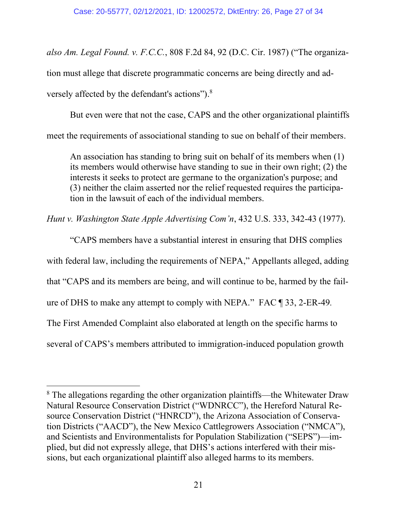*also Am. Legal Found. v. F.C.C.*, 808 F.2d 84, 92 (D.C. Cir. 1987) ("The organization must allege that discrete programmatic concerns are being directly and adversely affected by the defendant's actions").<sup>8</sup>

But even were that not the case, CAPS and the other organizational plaintiffs meet the requirements of associational standing to sue on behalf of their members.

An association has standing to bring suit on behalf of its members when (1) its members would otherwise have standing to sue in their own right; (2) the interests it seeks to protect are germane to the organization's purpose; and (3) neither the claim asserted nor the relief requested requires the participation in the lawsuit of each of the individual members.

*Hunt v. Washington State Apple Advertising Com'n*, 432 U.S. 333, 342-43 (1977).

"CAPS members have a substantial interest in ensuring that DHS complies with federal law, including the requirements of NEPA," Appellants alleged, adding that "CAPS and its members are being, and will continue to be, harmed by the failure of DHS to make any attempt to comply with NEPA." FAC ¶ 33, 2-ER-49*.*  The First Amended Complaint also elaborated at length on the specific harms to several of CAPS's members attributed to immigration-induced population growth

<sup>&</sup>lt;sup>8</sup> The allegations regarding the other organization plaintiffs—the Whitewater Draw Natural Resource Conservation District ("WDNRCC"), the Hereford Natural Resource Conservation District ("HNRCD"), the Arizona Association of Conservation Districts ("AACD"), the New Mexico Cattlegrowers Association ("NMCA"), and Scientists and Environmentalists for Population Stabilization ("SEPS")—implied, but did not expressly allege, that DHS's actions interfered with their missions, but each organizational plaintiff also alleged harms to its members.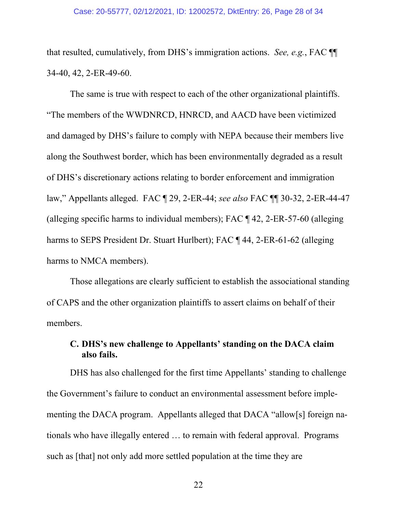that resulted, cumulatively, from DHS's immigration actions. *See, e.g.*, FAC ¶¶ 34-40, 42, 2-ER-49-60.

The same is true with respect to each of the other organizational plaintiffs. "The members of the WWDNRCD, HNRCD, and AACD have been victimized and damaged by DHS's failure to comply with NEPA because their members live along the Southwest border, which has been environmentally degraded as a result of DHS's discretionary actions relating to border enforcement and immigration law," Appellants alleged. FAC ¶ 29, 2-ER-44; *see also* FAC ¶¶ 30-32, 2-ER-44-47 (alleging specific harms to individual members); FAC ¶ 42, 2-ER-57-60 (alleging harms to SEPS President Dr. Stuart Hurlbert); FAC ¶ 44, 2-ER-61-62 (alleging harms to NMCA members).

Those allegations are clearly sufficient to establish the associational standing of CAPS and the other organization plaintiffs to assert claims on behalf of their members.

## <span id="page-27-0"></span>**C. DHS's new challenge to Appellants' standing on the DACA claim also fails.**

DHS has also challenged for the first time Appellants' standing to challenge the Government's failure to conduct an environmental assessment before implementing the DACA program. Appellants alleged that DACA "allow[s] foreign nationals who have illegally entered … to remain with federal approval. Programs such as [that] not only add more settled population at the time they are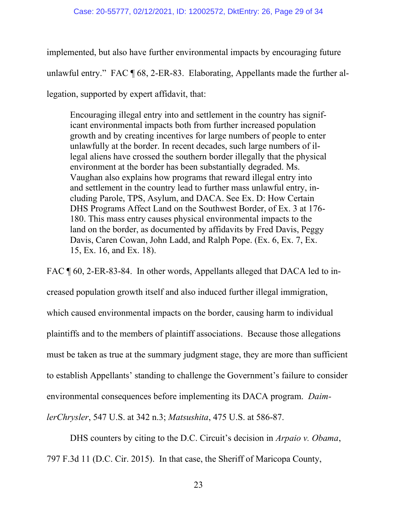implemented, but also have further environmental impacts by encouraging future unlawful entry." FAC ¶ 68, 2-ER-83. Elaborating, Appellants made the further allegation, supported by expert affidavit, that:

Encouraging illegal entry into and settlement in the country has significant environmental impacts both from further increased population growth and by creating incentives for large numbers of people to enter unlawfully at the border. In recent decades, such large numbers of illegal aliens have crossed the southern border illegally that the physical environment at the border has been substantially degraded. Ms. Vaughan also explains how programs that reward illegal entry into and settlement in the country lead to further mass unlawful entry, including Parole, TPS, Asylum, and DACA. See Ex. D: How Certain DHS Programs Affect Land on the Southwest Border, of Ex. 3 at 176- 180. This mass entry causes physical environmental impacts to the land on the border, as documented by affidavits by Fred Davis, Peggy Davis, Caren Cowan, John Ladd, and Ralph Pope. (Ex. 6, Ex. 7, Ex. 15, Ex. 16, and Ex. 18).

FAC ¶ 60, 2-ER-83-84. In other words, Appellants alleged that DACA led to increased population growth itself and also induced further illegal immigration, which caused environmental impacts on the border, causing harm to individual plaintiffs and to the members of plaintiff associations. Because those allegations must be taken as true at the summary judgment stage, they are more than sufficient to establish Appellants' standing to challenge the Government's failure to consider environmental consequences before implementing its DACA program. *DaimlerChrysler*, 547 U.S. at 342 n.3; *Matsushita*, 475 U.S. at 586-87.

DHS counters by citing to the D.C. Circuit's decision in *Arpaio v. Obama*, 797 F.3d 11 (D.C. Cir. 2015). In that case, the Sheriff of Maricopa County,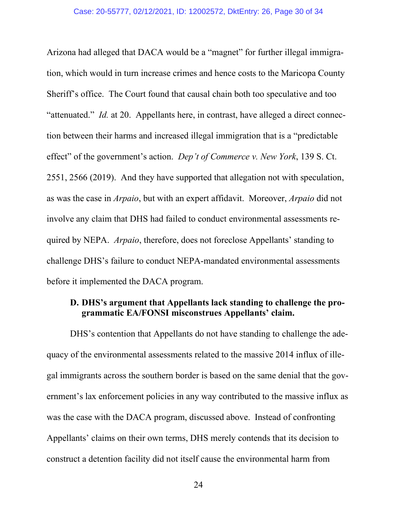Arizona had alleged that DACA would be a "magnet" for further illegal immigration, which would in turn increase crimes and hence costs to the Maricopa County Sheriff's office. The Court found that causal chain both too speculative and too "attenuated." *Id.* at 20. Appellants here, in contrast, have alleged a direct connection between their harms and increased illegal immigration that is a "predictable effect" of the government's action. *Dep't of Commerce v. New York*, 139 S. Ct. 2551, 2566 (2019). And they have supported that allegation not with speculation, as was the case in *Arpaio*, but with an expert affidavit. Moreover, *Arpaio* did not involve any claim that DHS had failed to conduct environmental assessments required by NEPA. *Arpaio*, therefore, does not foreclose Appellants' standing to challenge DHS's failure to conduct NEPA-mandated environmental assessments before it implemented the DACA program.

### <span id="page-29-0"></span>**D. DHS's argument that Appellants lack standing to challenge the programmatic EA/FONSI misconstrues Appellants' claim.**

DHS's contention that Appellants do not have standing to challenge the adequacy of the environmental assessments related to the massive 2014 influx of illegal immigrants across the southern border is based on the same denial that the government's lax enforcement policies in any way contributed to the massive influx as was the case with the DACA program, discussed above. Instead of confronting Appellants' claims on their own terms, DHS merely contends that its decision to construct a detention facility did not itself cause the environmental harm from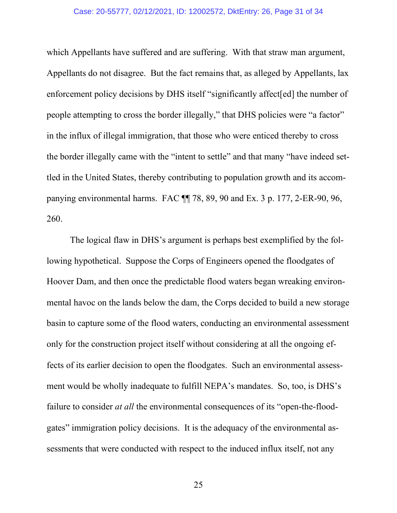#### Case: 20-55777, 02/12/2021, ID: 12002572, DktEntry: 26, Page 31 of 34

which Appellants have suffered and are suffering. With that straw man argument, Appellants do not disagree. But the fact remains that, as alleged by Appellants, lax enforcement policy decisions by DHS itself "significantly affect[ed] the number of people attempting to cross the border illegally," that DHS policies were "a factor" in the influx of illegal immigration, that those who were enticed thereby to cross the border illegally came with the "intent to settle" and that many "have indeed settled in the United States, thereby contributing to population growth and its accompanying environmental harms. FAC ¶¶ 78, 89, 90 and Ex. 3 p. 177, 2-ER-90, 96, 260.

The logical flaw in DHS's argument is perhaps best exemplified by the following hypothetical. Suppose the Corps of Engineers opened the floodgates of Hoover Dam, and then once the predictable flood waters began wreaking environmental havoc on the lands below the dam, the Corps decided to build a new storage basin to capture some of the flood waters, conducting an environmental assessment only for the construction project itself without considering at all the ongoing effects of its earlier decision to open the floodgates. Such an environmental assessment would be wholly inadequate to fulfill NEPA's mandates. So, too, is DHS's failure to consider *at all* the environmental consequences of its "open-the-floodgates" immigration policy decisions. It is the adequacy of the environmental assessments that were conducted with respect to the induced influx itself, not any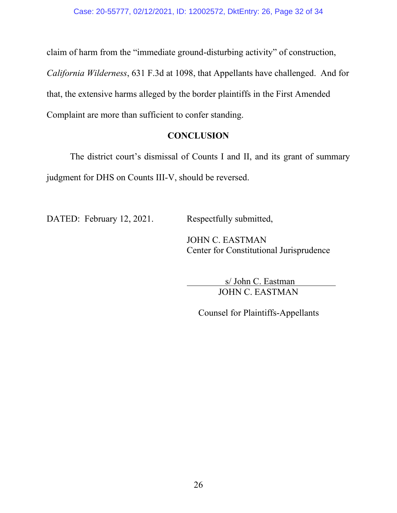claim of harm from the "immediate ground-disturbing activity" of construction,

*California Wilderness*, 631 F.3d at 1098, that Appellants have challenged. And for that, the extensive harms alleged by the border plaintiffs in the First Amended Complaint are more than sufficient to confer standing.

### **CONCLUSION**

<span id="page-31-0"></span>The district court's dismissal of Counts I and II, and its grant of summary judgment for DHS on Counts III-V, should be reversed.

DATED: February 12, 2021. Respectfully submitted,

JOHN C. EASTMAN Center for Constitutional Jurisprudence

> s/ John C. Eastman JOHN C. EASTMAN

Counsel for Plaintiffs-Appellants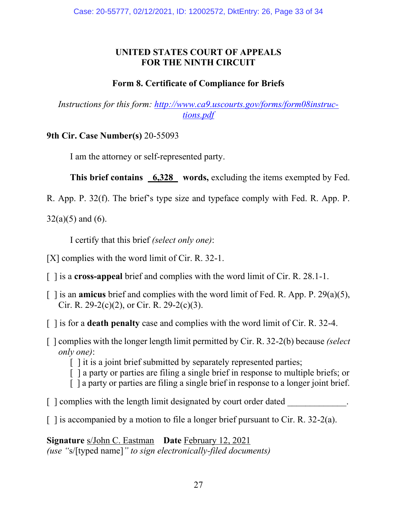## **UNITED STATES COURT OF APPEALS FOR THE NINTH CIRCUIT**

## **Form 8. Certificate of Compliance for Briefs**

<span id="page-32-0"></span>*Instructions for this form: [http://www.ca9.uscourts.gov/forms/form08instruc](http://www.ca9.uscourts.gov/forms/form08instructions.pdf)[tions.pdf](http://www.ca9.uscourts.gov/forms/form08instructions.pdf)*

**9th Cir. Case Number(s)** 20-55093

I am the attorney or self-represented party.

This brief contains 6,328 words, excluding the items exempted by Fed.

R. App. P. 32(f). The brief's type size and typeface comply with Fed. R. App. P.

 $32(a)(5)$  and  $(6)$ .

I certify that this brief *(select only one)*:

[X] complies with the word limit of Cir. R. 32-1.

[ ] is a **cross-appeal** brief and complies with the word limit of Cir. R. 28.1-1.

- [ ] is an **amicus** brief and complies with the word limit of Fed. R. App. P. 29(a)(5), Cir. R. 29-2(c)(2), or Cir. R. 29-2(c)(3).
- [ ] is for a **death penalty** case and complies with the word limit of Cir. R. 32-4.
- [ ] complies with the longer length limit permitted by Cir. R. 32-2(b) because *(select only one)*:

[] it is a joint brief submitted by separately represented parties;

- [ ] a party or parties are filing a single brief in response to multiple briefs; or
- [ ] a party or parties are filing a single brief in response to a longer joint brief.
- $\lceil$  | complies with the length limit designated by court order dated
- $\lceil$  1 is accompanied by a motion to file a longer brief pursuant to Cir. R. 32-2(a).

**Signature** s/John C. Eastman **Date** February 12, 2021 *(use "*s/[typed name]*" to sign electronically-filed documents)*